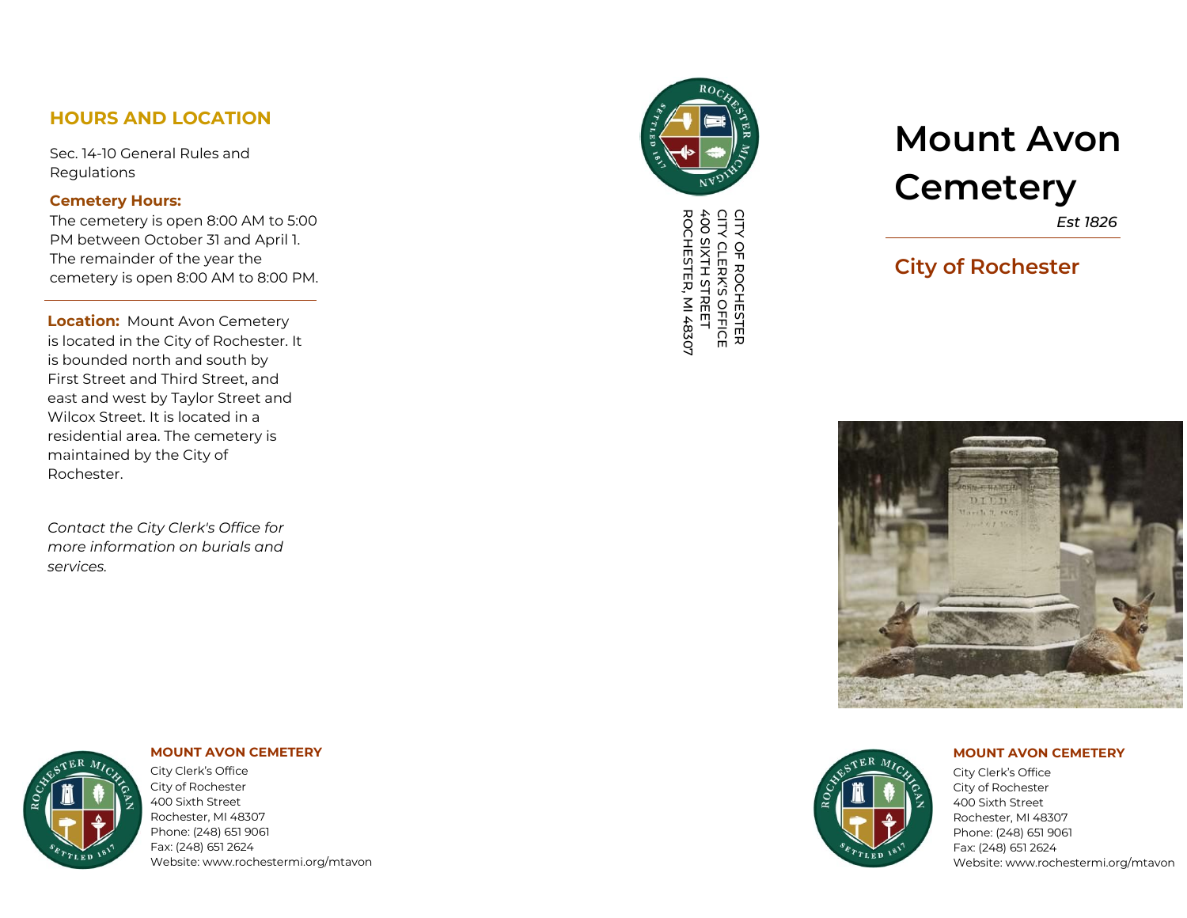# **HOURS AND L OCATION**

Sec. 14-10 General Rules and **Regulations** 

### **Cemetery Hours:**

The cemetery is open 8:00 AM to 5:00 PM between October 31 and April 1. The remainder of the year the cemetery is open 8:00 AM to 8:00 PM.

**Location:** Mount Avon Cemetery i s lo c ated i n th e City of Ro c h e ster . It is bounded north and south by First Street and Third Street, and east and west by Taylor Street and Wilcox Street. It is located in a residential area. The cemetery is ma i nta i n e d by th e City of Rochester.

*Contact the City Clerk's Office for more information on burials and s e rvic e s .*



CITY OF ROCHESTER<br>CITY CLERK'S OFFICE<br>400 SIXTH STREET<br>ROCHESTER, MI 48307 ROCHESTER, MI 48307 400 SIXTH STREET CITY CLERK'S CITY OF ROCHESTER OFFICE

# **Mount Avon Cemetery**

*Est 1 82 6*

# **Cit y of R ochest e r**





**MOUNT AVON CEMETERY** 

Cit y Clerk' s Offic e City of Rochester 400 Sixth Street Rochester, MI 48307 Phone: (248) 651 9061 Fax: (248) 651 2624 Website: www.rochestermi.org/mtavon

#### **MOUNT AVON CEMETERY**

City Clerk's Office City of Rochester 400 Sixth Street Rochester, MI 48307

Phone: (248) 651 9061 Fax: (248) 651 2624 Website: www.rochestermi.org/mtavon